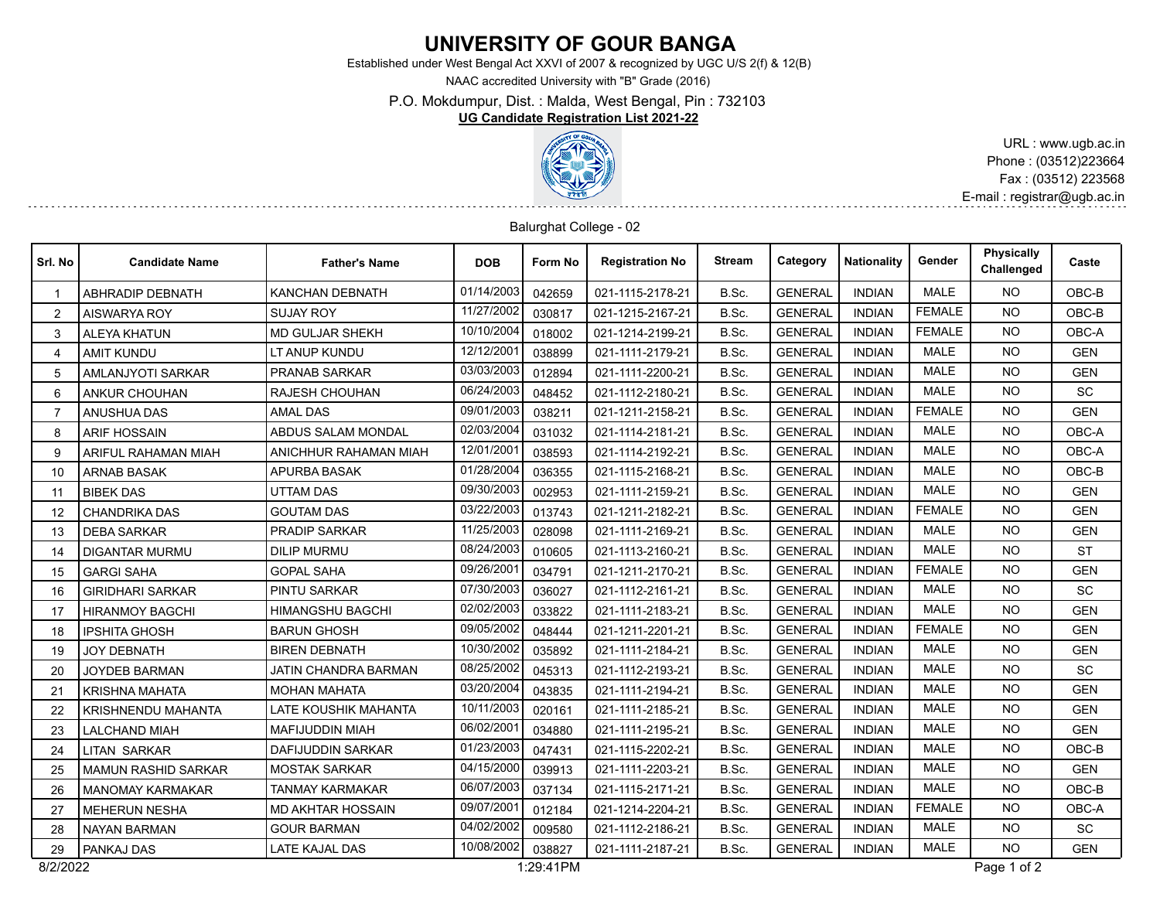## **UNIVERSITY OF GOUR BANGA**

Established under West Bengal Act XXVI of 2007 & recognized by UGC U/S 2(f) & 12(B)

NAAC accredited University with "B" Grade (2016)

P.O. Mokdumpur, Dist. : Malda, West Bengal, Pin : 732103

## **UG Candidate Registration List 2021-22**



URL : www.ugb.ac.in Phone : (03512)223664 Fax : (03512) 223568 E-mail : registrar@ugb.ac.in

## Balurghat College - 02

| Srl. No               | <b>Candidate Name</b>      | <b>Father's Name</b>        | <b>DOB</b> | Form No | <b>Registration No</b> | <b>Stream</b> | Category       | <b>Nationality</b> | Gender        | <b>Physically</b><br>Challenged | Caste      |
|-----------------------|----------------------------|-----------------------------|------------|---------|------------------------|---------------|----------------|--------------------|---------------|---------------------------------|------------|
|                       | <b>ABHRADIP DEBNATH</b>    | KANCHAN DEBNATH             | 01/14/2003 | 042659  | 021-1115-2178-21       | B.Sc.         | <b>GENERAL</b> | <b>INDIAN</b>      | <b>MALE</b>   | NO.                             | OBC-B      |
| 2                     | <b>AISWARYA ROY</b>        | <b>SUJAY ROY</b>            | 11/27/2002 | 030817  | 021-1215-2167-21       | B.Sc.         | <b>GENERAL</b> | <b>INDIAN</b>      | <b>FEMALE</b> | <b>NO</b>                       | OBC-B      |
| 3                     | <b>ALEYA KHATUN</b>        | <b>MD GULJAR SHEKH</b>      | 10/10/2004 | 018002  | 021-1214-2199-21       | B.Sc.         | <b>GENERAL</b> | <b>INDIAN</b>      | <b>FEMALE</b> | <b>NO</b>                       | OBC-A      |
| $\overline{4}$        | <b>AMIT KUNDU</b>          | LT ANUP KUNDU               | 12/12/2001 | 038899  | 021-1111-2179-21       | B.Sc.         | <b>GENERAL</b> | <b>INDIAN</b>      | MALE          | NO.                             | <b>GEN</b> |
| 5                     | <b>AMLANJYOTI SARKAR</b>   | <b>PRANAB SARKAR</b>        | 03/03/2003 | 012894  | 021-1111-2200-21       | B.Sc.         | <b>GENERAL</b> | <b>INDIAN</b>      | <b>MALE</b>   | <b>NO</b>                       | <b>GEN</b> |
| 6                     | <b>ANKUR CHOUHAN</b>       | <b>RAJESH CHOUHAN</b>       | 06/24/2003 | 048452  | 021-1112-2180-21       | B.Sc.         | <b>GENERAL</b> | <b>INDIAN</b>      | <b>MALE</b>   | <b>NO</b>                       | <b>SC</b>  |
| $\overline{7}$        | <b>ANUSHUA DAS</b>         | <b>AMAL DAS</b>             | 09/01/2003 | 038211  | 021-1211-2158-21       | B.Sc.         | <b>GENERAL</b> | <b>INDIAN</b>      | <b>FEMALE</b> | NO.                             | <b>GEN</b> |
| 8                     | <b>ARIF HOSSAIN</b>        | ABDUS SALAM MONDAL          | 02/03/2004 | 031032  | 021-1114-2181-21       | B.Sc.         | <b>GENERAL</b> | <b>INDIAN</b>      | <b>MALE</b>   | <b>NO</b>                       | OBC-A      |
| 9                     | <b>ARIFUL RAHAMAN MIAH</b> | ANICHHUR RAHAMAN MIAH       | 12/01/2001 | 038593  | 021-1114-2192-21       | B.Sc.         | <b>GENERAL</b> | <b>INDIAN</b>      | <b>MALE</b>   | <b>NO</b>                       | OBC-A      |
| 10                    | <b>ARNAB BASAK</b>         | APURBA BASAK                | 01/28/2004 | 036355  | 021-1115-2168-21       | B.Sc.         | <b>GENERAL</b> | <b>INDIAN</b>      | <b>MALE</b>   | NO.                             | OBC-B      |
| 11                    | <b>BIBEK DAS</b>           | <b>UTTAM DAS</b>            | 09/30/2003 | 002953  | 021-1111-2159-21       | B.Sc.         | <b>GENERAL</b> | <b>INDIAN</b>      | <b>MALE</b>   | NO.                             | <b>GEN</b> |
| 12                    | <b>CHANDRIKA DAS</b>       | <b>GOUTAM DAS</b>           | 03/22/2003 | 013743  | 021-1211-2182-21       | B.Sc.         | <b>GENERAL</b> | <b>INDIAN</b>      | <b>FEMALE</b> | <b>NO</b>                       | <b>GEN</b> |
| 13                    | <b>DEBA SARKAR</b>         | <b>PRADIP SARKAR</b>        | 11/25/2003 | 028098  | 021-1111-2169-21       | B.Sc.         | <b>GENERAL</b> | <b>INDIAN</b>      | <b>MALE</b>   | <b>NO</b>                       | <b>GEN</b> |
| 14                    | <b>DIGANTAR MURMU</b>      | <b>DILIP MURMU</b>          | 08/24/2003 | 010605  | 021-1113-2160-21       | B.Sc.         | <b>GENERAL</b> | <b>INDIAN</b>      | <b>MALE</b>   | <b>NO</b>                       | <b>ST</b>  |
| 15                    | <b>GARGI SAHA</b>          | <b>GOPAL SAHA</b>           | 09/26/2001 | 034791  | 021-1211-2170-21       | B.Sc.         | <b>GENERAL</b> | <b>INDIAN</b>      | <b>FEMALE</b> | NO.                             | <b>GEN</b> |
| 16                    | <b>GIRIDHARI SARKAR</b>    | <b>PINTU SARKAR</b>         | 07/30/2003 | 036027  | 021-1112-2161-21       | B.Sc.         | <b>GENERAL</b> | <b>INDIAN</b>      | <b>MALE</b>   | NO.                             | <b>SC</b>  |
| 17                    | <b>HIRANMOY BAGCHI</b>     | <b>HIMANGSHU BAGCHI</b>     | 02/02/2003 | 033822  | 021-1111-2183-21       | B.Sc.         | <b>GENERAL</b> | <b>INDIAN</b>      | MALE          | <b>NO</b>                       | <b>GEN</b> |
| 18                    | IPSHITA GHOSH              | <b>BARUN GHOSH</b>          | 09/05/2002 | 048444  | 021-1211-2201-21       | B.Sc.         | <b>GENERAL</b> | <b>INDIAN</b>      | <b>FEMALE</b> | <b>NO</b>                       | <b>GEN</b> |
| 19                    | <b>JOY DEBNATH</b>         | <b>BIREN DEBNATH</b>        | 10/30/2002 | 035892  | 021-1111-2184-21       | B.Sc.         | <b>GENERAL</b> | <b>INDIAN</b>      | <b>MALE</b>   | NO.                             | <b>GEN</b> |
| 20                    | <b>JOYDEB BARMAN</b>       | <b>JATIN CHANDRA BARMAN</b> | 08/25/2002 | 045313  | 021-1112-2193-21       | B.Sc.         | <b>GENERAL</b> | <b>INDIAN</b>      | <b>MALE</b>   | <b>NO</b>                       | <b>SC</b>  |
| 21                    | <b>KRISHNA MAHATA</b>      | <b>MOHAN MAHATA</b>         | 03/20/2004 | 043835  | 021-1111-2194-21       | B.Sc.         | <b>GENERAL</b> | <b>INDIAN</b>      | <b>MALE</b>   | <b>NO</b>                       | <b>GEN</b> |
| 22                    | <b>KRISHNENDU MAHANTA</b>  | <b>LATE KOUSHIK MAHANTA</b> | 10/11/2003 | 020161  | 021-1111-2185-21       | B.Sc.         | <b>GENERAL</b> | <b>INDIAN</b>      | <b>MALE</b>   | <b>NO</b>                       | <b>GEN</b> |
| 23                    | <b>LALCHAND MIAH</b>       | <b>MAFIJUDDIN MIAH</b>      | 06/02/2001 | 034880  | 021-1111-2195-21       | B.Sc.         | <b>GENERAL</b> | <b>INDIAN</b>      | <b>MALE</b>   | <b>NO</b>                       | <b>GEN</b> |
| 24                    | LITAN SARKAR               | <b>DAFIJUDDIN SARKAR</b>    | 01/23/2003 | 047431  | 021-1115-2202-21       | B.Sc.         | <b>GENERAL</b> | <b>INDIAN</b>      | <b>MALE</b>   | <b>NO</b>                       | OBC-B      |
| 25                    | <b>MAMUN RASHID SARKAR</b> | <b>MOSTAK SARKAR</b>        | 04/15/2000 | 039913  | 021-1111-2203-21       | B.Sc.         | <b>GENERAL</b> | <b>INDIAN</b>      | <b>MALE</b>   | <b>NO</b>                       | <b>GEN</b> |
| 26                    | <b>MANOMAY KARMAKAR</b>    | <b>TANMAY KARMAKAR</b>      | 06/07/2003 | 037134  | 021-1115-2171-21       | B.Sc.         | <b>GENERAL</b> | <b>INDIAN</b>      | <b>MALE</b>   | <b>NO</b>                       | OBC-B      |
| 27                    | <b>MEHERUN NESHA</b>       | <b>MD AKHTAR HOSSAIN</b>    | 09/07/2001 | 012184  | 021-1214-2204-21       | B.Sc.         | <b>GENERAL</b> | <b>INDIAN</b>      | <b>FEMALE</b> | <b>NO</b>                       | OBC-A      |
| 28                    | <b>NAYAN BARMAN</b>        | <b>GOUR BARMAN</b>          | 04/02/2002 | 009580  | 021-1112-2186-21       | B.Sc.         | <b>GENERAL</b> | <b>INDIAN</b>      | <b>MALE</b>   | <b>NO</b>                       | <b>SC</b>  |
| 29                    | PANKAJ DAS                 | LATE KAJAL DAS              | 10/08/2002 | 038827  | 021-1111-2187-21       | B.Sc.         | <b>GENERAL</b> | <b>INDIAN</b>      | <b>MALE</b>   | <b>NO</b>                       | <b>GEN</b> |
| 8/2/2022<br>1:29:41PM |                            |                             |            |         |                        |               | Page 1 of 2    |                    |               |                                 |            |